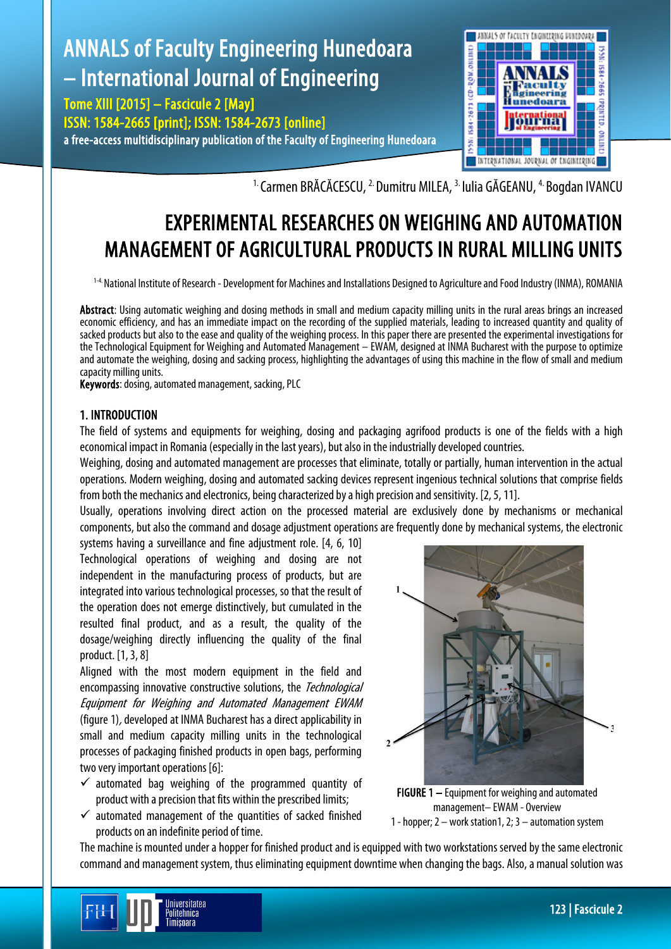

<sup>1.</sup> Carmen BRĂCĂCESCU, <sup>2.</sup> Dumitru MILEA, <sup>3.</sup> Iulia GĂGEANU, <sup>4.</sup> Bogdan IVANCU

# EXPERIMENTAL RESEARCHES ON WEIGHING AND AUTOMATION MANAGEMENT OF AGRICULTURAL PRODUCTS IN RURAL MILLING UNITS

1-4. National Institute of Research - Development for Machines and Installations Designed to Agriculture and Food Industry (INMA), ROMANIA

Abstract: Using automatic weighing and dosing methods in small and medium capacity milling units in the rural areas brings an increased economic efficiency, and has an immediate impact on the recording of the supplied materials, leading to increased quantity and quality of sacked products but also to the ease and quality of the weighing process. In this paper there are presented the experimental investigations for the Technological Equipment for Weighing and Automated Management – EWAM, designed at INMA Bucharest with the purpose to optimize and automate the weighing, dosing and sacking process, highlighting the advantages of using this machine in the flow of small and medium capacity milling units.

Keywords: dosing, automated management, sacking, PLC

# 1. INTRODUCTION

The field of systems and equipments for weighing, dosing and packaging agrifood products is one of the fields with a high economical impact in Romania (especially in the last years), but also in the industrially developed countries.

Weighing, dosing and automated management are processes that eliminate, totally or partially, human intervention in the actual operations. Modern weighing, dosing and automated sacking devices represent ingenious technical solutions that comprise fields from both the mechanics and electronics, being characterized by a high precision and sensitivity. [2, 5, 11].

Usually, operations involving direct action on the processed material are exclusively done by mechanisms or mechanical components, but also the command and dosage adjustment operations are frequently done by mechanical systems, the electronic

systems having a surveillance and fine adjustment role. [4, 6, 10] Technological operations of weighing and dosing are not independent in the manufacturing process of products, but are integrated into various technological processes, so that the result of the operation does not emerge distinctively, but cumulated in the resulted final product, and as a result, the quality of the dosage/weighing directly influencing the quality of the final product. [1, 3, 8]

Aligned with the most modern equipment in the field and encompassing innovative constructive solutions, the *Technological* Equipment for Weighing and Automated Management EWAM (figure 1), developed at INMA Bucharest has a direct applicability in small and medium capacity milling units in the technological processes of packaging finished products in open bags, performing two very important operations [6]:

- $\checkmark$  automated bag weighing of the programmed quantity of product with a precision that fits within the prescribed limits;
- $\checkmark$  automated management of the quantities of sacked finished products on an indefinite period of time.

Iniversitatea <sup>o</sup>olitehnica Timisoara



FIGURE 1 – Equipment for weighing and automated management– EWAM - Overview 1 - hopper; 2 – work station1, 2; 3 – automation system

The machine is mounted under a hopper for finished product and is equipped with two workstations served by the same electronic command and management system, thus eliminating equipment downtime when changing the bags. Also, a manual solution was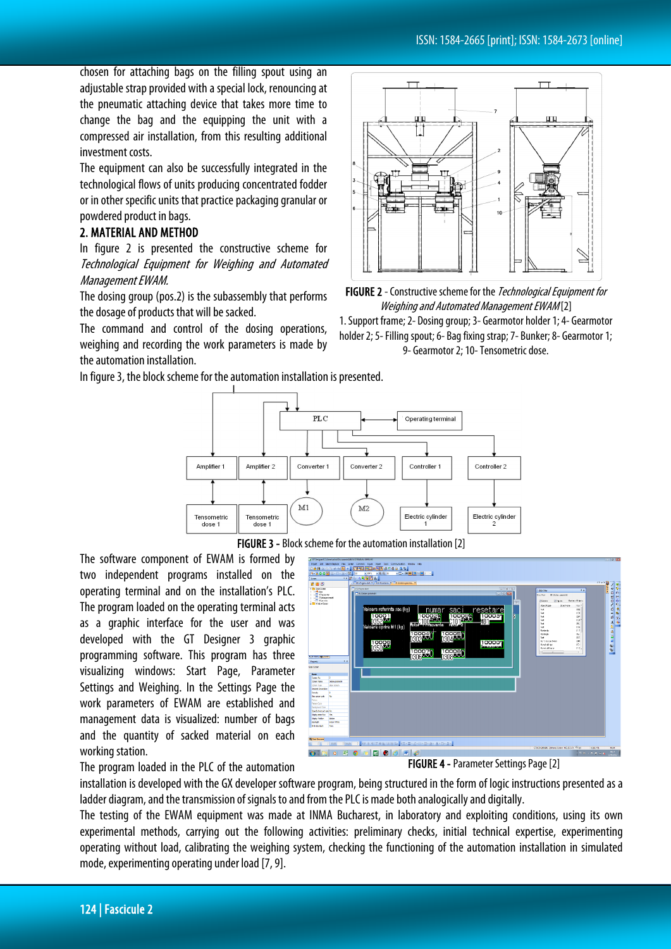chosen for attaching bags on the filling spout using an adjustable strap provided with a special lock, renouncing at the pneumatic attaching device that takes more time to change the bag and the equipping the unit with a compressed air installation, from this resulting additional investment costs.

The equipment can also be successfully integrated in the technological flows of units producing concentrated fodder or in other specific units that practice packaging granular or powdered product in bags.

# 2. MATERIAL AND METHOD

In figure 2 is presented the constructive scheme for Technological Equipment for Weighing and Automated Management EWAM.

The dosing group (pos.2) is the subassembly that performs the dosage of products that will be sacked.

The command and control of the dosing operations, weighing and recording the work parameters is made by the automation installation.



FIGURE 2 - Constructive scheme for the *Technological Equipment for* Weighing and Automated Management EWAM [2]

1. Support frame; 2- Dosing group; 3- Gearmotor holder 1; 4- Gearmotor holder 2; 5- Filling spout; 6- Bag fixing strap; 7- Bunker; 8- Gearmotor 1; 9- Gearmotor 2; 10-Tensometric dose.

In figure 3, the block scheme for the automation installation is presented.



FIGURE 3 - Block scheme for the automation installation [2]

The software component of EWAM is formed by two independent programs installed on the operating terminal and on the installation's PLC. The program loaded on the operating terminal acts as a graphic interface for the user and was developed with the GT Designer 3 graphic programming software. This program has three visualizing windows: Start Page, Parameter Settings and Weighing. In the Settings Page the work parameters of EWAM are established and management data is visualized: number of bags and the quantity of sacked material on each working station.

The program loaded in the PLC of the automation



FIGURE 4 - Parameter Settings Page [2]

installation is developed with the GX developer software program, being structured in the form of logic instructions presented as a ladder diagram, and the transmission of signals to and from the PLC is made both analogically and digitally.

The testing of the EWAM equipment was made at INMA Bucharest, in laboratory and exploiting conditions, using its own experimental methods, carrying out the following activities: preliminary checks, initial technical expertise, experimenting operating without load, calibrating the weighing system, checking the functioning of the automation installation in simulated mode, experimenting operating under load[7, 9].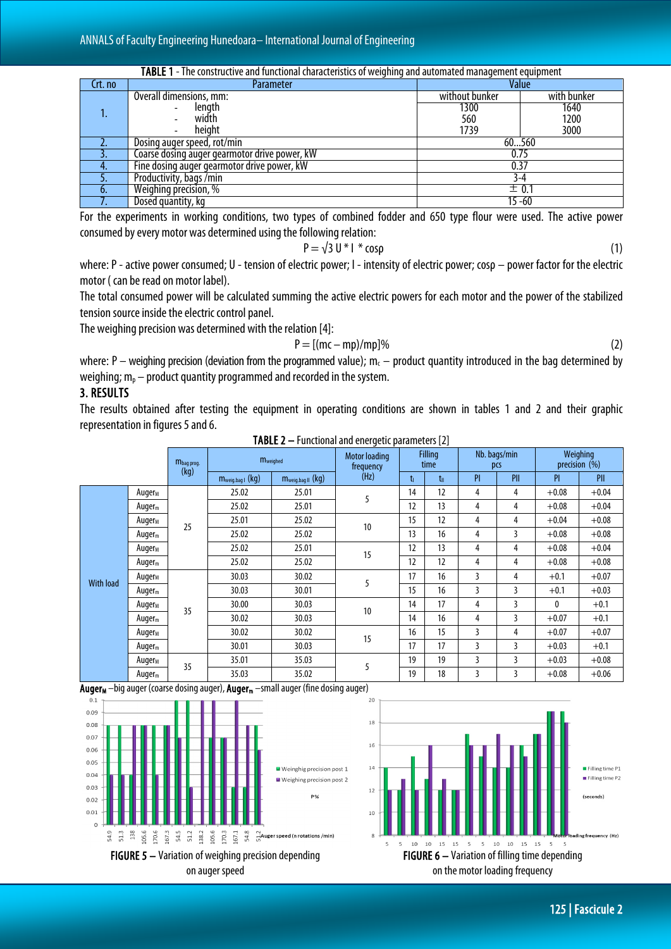| TABLE 1 - The constructive and functional characteristics of weighing and automated management equipment |                                               |                |             |  |  |  |  |  |  |
|----------------------------------------------------------------------------------------------------------|-----------------------------------------------|----------------|-------------|--|--|--|--|--|--|
| Crt. no                                                                                                  | Value<br>Parameter                            |                |             |  |  |  |  |  |  |
|                                                                                                          | Overall dimensions, mm:                       | without bunker | with bunker |  |  |  |  |  |  |
|                                                                                                          | length                                        | 1300           | 1640        |  |  |  |  |  |  |
|                                                                                                          | width                                         | 560            | 1200        |  |  |  |  |  |  |
|                                                                                                          | height                                        | 1739           | 3000        |  |  |  |  |  |  |
|                                                                                                          | Dosing auger speed, rot/min                   | 60560          |             |  |  |  |  |  |  |
|                                                                                                          | Coarse dosing auger gearmotor drive power, kW | 0.75           |             |  |  |  |  |  |  |
|                                                                                                          | Fine dosing auger gearmotor drive power, kW   | 0.37           |             |  |  |  |  |  |  |
|                                                                                                          | Productivity, bags / min                      | 3-4            |             |  |  |  |  |  |  |
|                                                                                                          | Weighing precision, %                         | ± 0.1          |             |  |  |  |  |  |  |
|                                                                                                          | Dosed quantity, kg                            | $15 - 60$      |             |  |  |  |  |  |  |

For the experiments in working conditions, two types of combined fodder and 650 type flour were used. The active power consumed by every motor was determined using the following relation:

$$
P = \sqrt{3} U^* I^* \cos \rho \tag{1}
$$

where: P - active power consumed; U - tension of electric power; I - intensity of electric power; cosρ – power factor for the electric motor ( can be read on motor label).

The total consumed power will be calculated summing the active electric powers for each motor and the power of the stabilized tension source inside the electric control panel.

The weighing precision was determined with the relation [4]:

$$
P = [(mc - mp)/mp]%
$$
 (2)

where: P – weighing precision (deviation from the programmed value);  $m_c$  – product quantity introduced in the bag determined by weighing;  $m_p$  – product quantity programmed and recorded in the system.

# 3. RESULTS

The results obtained after testing the equipment in operating conditions are shown in tables 1 and 2 and their graphic representation in figures 5 and 6. TABLE 2 – Functionaland energetic parameters [2]

|                  |                    |            |                  |                   | <b>INDLL 2</b> – Functional and cheigenc parameters [2]<br><b>Motor loading</b> | <b>Filling</b> |                 | Nb. bags/min   |                | Weighing      |         |
|------------------|--------------------|------------|------------------|-------------------|---------------------------------------------------------------------------------|----------------|-----------------|----------------|----------------|---------------|---------|
|                  |                    | Mbag prog. | <b>M</b> weighed |                   | frequency                                                                       | time           |                 | pcs            |                | precision (%) |         |
|                  |                    | (kg)       | Mweig.bag   (kg) | Mweig.bag II (kg) | (Hz)                                                                            | t.             | $t_{\parallel}$ | PI             | PII            | PI            | PII     |
|                  | Auger <sub>M</sub> |            | 25.02            | 25.01             | 5                                                                               | 14             | 12              | 4              | 4              | $+0.08$       | $+0.04$ |
|                  | Auger <sub>m</sub> | 25         | 25.02            | 25.01             |                                                                                 | 12             | 13              | 4              | 4              | $+0.08$       | $+0.04$ |
|                  | Auger <sub>M</sub> |            | 25.01            | 25.02             | 10                                                                              | 15             | 12              | 4              | 4              | $+0.04$       | $+0.08$ |
|                  | Auger $m$          |            | 25.02            | 25.02             |                                                                                 | 13             | 16              | 4              | 3              | $+0.08$       | $+0.08$ |
|                  | Auger <sub>M</sub> |            | 25.02            | 25.01             | 15                                                                              | 12             | 13              | 4              | 4              | $+0.08$       | $+0.04$ |
|                  | Auger <sub>m</sub> |            | 25.02            | 25.02             |                                                                                 | 12             | 12              | 4              | 4              | $+0.08$       | $+0.08$ |
| <b>With load</b> | Auger <sub>M</sub> |            | 30.03            | 30.02             | 5                                                                               | 17             | 16              | 3              | 4              | $+0.1$        | $+0.07$ |
|                  | Auger <sub>m</sub> |            | 30.03            | 30.01             |                                                                                 | 15             | 16              | 3              | 3              | $+0.1$        | $+0.03$ |
|                  | Auger <sub>M</sub> | 35         | 30.00            | 30.03             | 10                                                                              | 14             | 17              | 4              | 3              | $\mathbf{0}$  | $+0.1$  |
|                  | Auger <sub>m</sub> |            | 30.02            | 30.03             |                                                                                 | 14             | 16              | 4              | 3              | $+0.07$       | $+0.1$  |
|                  | Auger <sub>M</sub> |            | 30.02            | 30.02             | 15                                                                              | 16             | 15              | 3              | 4              | $+0.07$       | $+0.07$ |
|                  | Auger <sub>m</sub> |            | 30.01            | 30.03             |                                                                                 | 17             | 17              | 3              | $\overline{3}$ | $+0.03$       | $+0.1$  |
|                  | Auger <sub>M</sub> | 35         | 35.01            | 35.03             | 5                                                                               | 19             | 19              | $\overline{3}$ | $\overline{3}$ | $+0.03$       | $+0.08$ |
|                  | Auger $m$          |            | 35.03            | 35.02             |                                                                                 | 19             | 18              | 3              | 3              | $+0.08$       | $+0.06$ |







125 | Fascicule 2